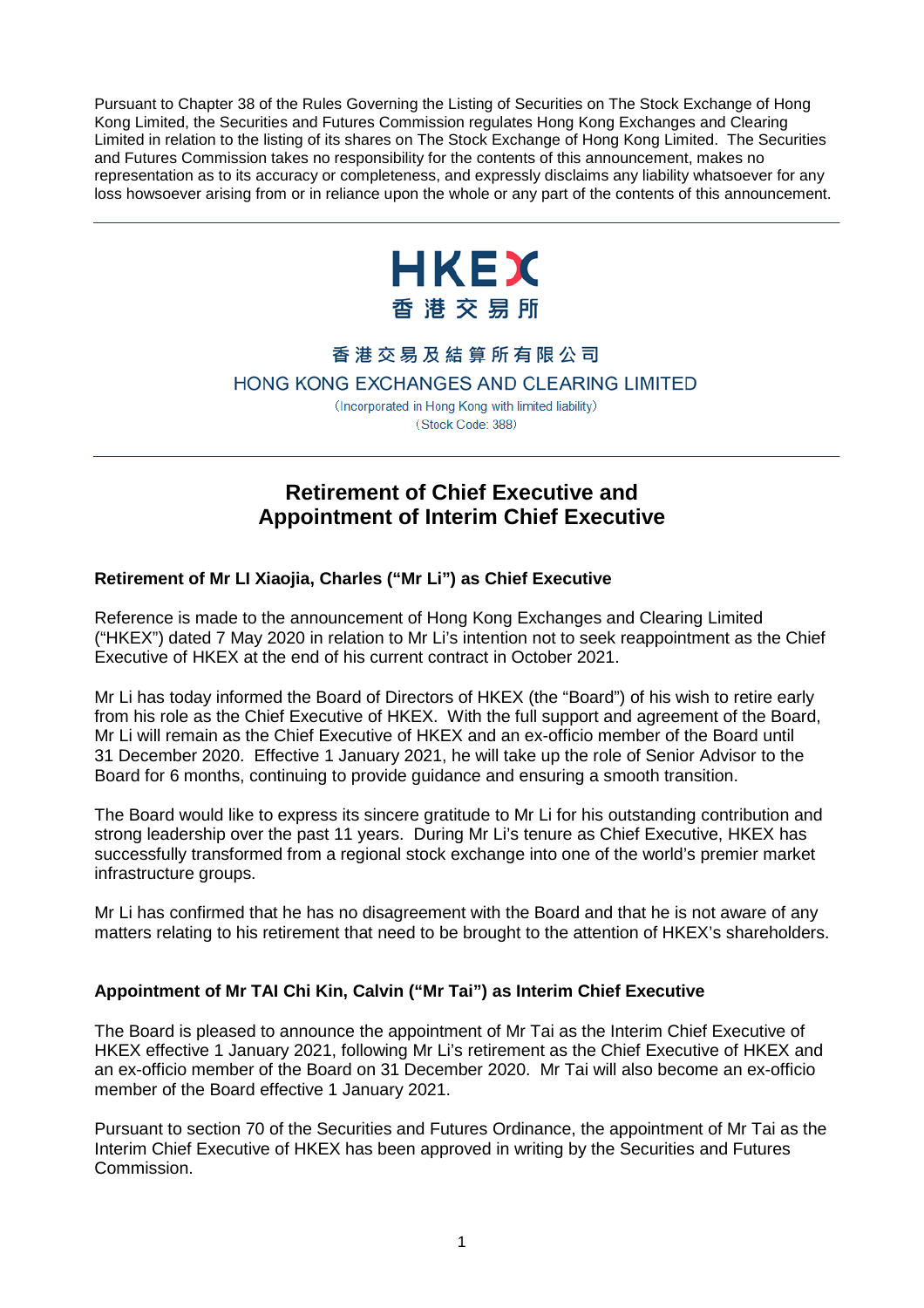Pursuant to Chapter 38 of the Rules Governing the Listing of Securities on The Stock Exchange of Hong Kong Limited, the Securities and Futures Commission regulates Hong Kong Exchanges and Clearing Limited in relation to the listing of its shares on The Stock Exchange of Hong Kong Limited. The Securities and Futures Commission takes no responsibility for the contents of this announcement, makes no representation as to its accuracy or completeness, and expressly disclaims any liability whatsoever for any loss howsoever arising from or in reliance upon the whole or any part of the contents of this announcement.



## 香港交易及結算所有限公司

## HONG KONG EXCHANGES AND CLEARING LIMITED

(Incorporated in Hong Kong with limited liability) (Stock Code: 388)

# **Retirement of Chief Executive and Appointment of Interim Chief Executive**

## **Retirement of Mr LI Xiaojia, Charles ("Mr Li") as Chief Executive**

Reference is made to the announcement of Hong Kong Exchanges and Clearing Limited ("HKEX") dated 7 May 2020 in relation to Mr Li's intention not to seek reappointment as the Chief Executive of HKEX at the end of his current contract in October 2021.

Mr Li has today informed the Board of Directors of HKEX (the "Board") of his wish to retire early from his role as the Chief Executive of HKEX. With the full support and agreement of the Board, Mr Li will remain as the Chief Executive of HKEX and an ex-officio member of the Board until 31 December 2020. Effective 1 January 2021, he will take up the role of Senior Advisor to the Board for 6 months, continuing to provide guidance and ensuring a smooth transition.

The Board would like to express its sincere gratitude to Mr Li for his outstanding contribution and strong leadership over the past 11 years. During Mr Li's tenure as Chief Executive, HKEX has successfully transformed from a regional stock exchange into one of the world's premier market infrastructure groups.

Mr Li has confirmed that he has no disagreement with the Board and that he is not aware of any matters relating to his retirement that need to be brought to the attention of HKEX's shareholders.

## **Appointment of Mr TAI Chi Kin, Calvin ("Mr Tai") as Interim Chief Executive**

The Board is pleased to announce the appointment of Mr Tai as the Interim Chief Executive of HKEX effective 1 January 2021, following Mr Li's retirement as the Chief Executive of HKEX and an ex-officio member of the Board on 31 December 2020. Mr Tai will also become an ex-officio member of the Board effective 1 January 2021.

Pursuant to section 70 of the Securities and Futures Ordinance, the appointment of Mr Tai as the Interim Chief Executive of HKEX has been approved in writing by the Securities and Futures Commission.